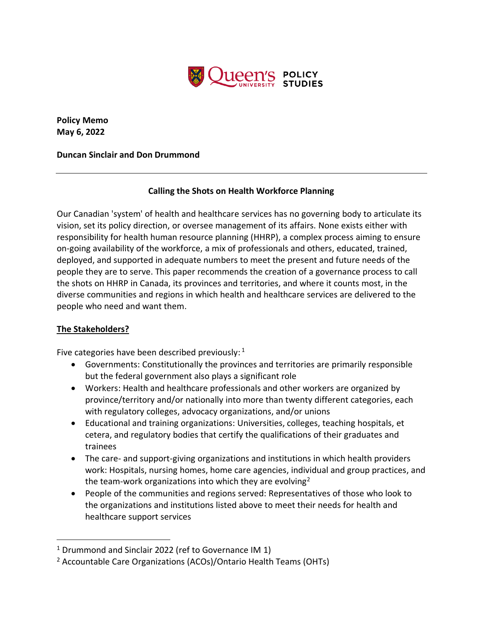

**Policy Memo May 6, 2022**

### **Duncan Sinclair and Don Drummond**

# **Calling the Shots on Health Workforce Planning**

Our Canadian 'system' of health and healthcare services has no governing body to articulate its vision, set its policy direction, or oversee management of its affairs. None exists either with responsibility for health human resource planning (HHRP), a complex process aiming to ensure on-going availability of the workforce, a mix of professionals and others, educated, trained, deployed, and supported in adequate numbers to meet the present and future needs of the people they are to serve. This paper recommends the creation of a governance process to call the shots on HHRP in Canada, its provinces and territories, and where it counts most, in the diverse communities and regions in which health and healthcare services are delivered to the people who need and want them.

# **The Stakeholders?**

Five categories have been described previously:  $1$ 

- Governments: Constitutionally the provinces and territories are primarily responsible but the federal government also plays a significant role
- Workers: Health and healthcare professionals and other workers are organized by province/territory and/or nationally into more than twenty different categories, each with regulatory colleges, advocacy organizations, and/or unions
- Educational and training organizations: Universities, colleges, teaching hospitals, et cetera, and regulatory bodies that certify the qualifications of their graduates and trainees
- The care- and support-giving organizations and institutions in which health providers work: Hospitals, nursing homes, home care agencies, individual and group practices, and the team-work organizations into which they are evolving<sup>2</sup>
- People of the communities and regions served: Representatives of those who look to the organizations and institutions listed above to meet their needs for health and healthcare support services

<sup>&</sup>lt;sup>1</sup> Drummond and Sinclair 2022 (ref to Governance IM 1)

<sup>2</sup> Accountable Care Organizations (ACOs)/Ontario Health Teams (OHTs)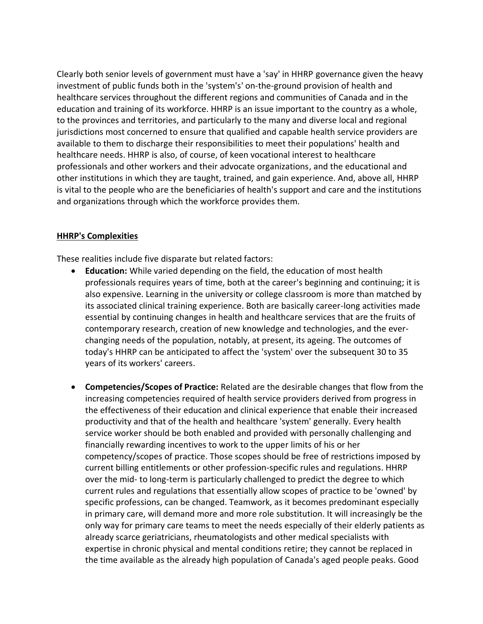Clearly both senior levels of government must have a 'say' in HHRP governance given the heavy investment of public funds both in the 'system's' on-the-ground provision of health and healthcare services throughout the different regions and communities of Canada and in the education and training of its workforce. HHRP is an issue important to the country as a whole, to the provinces and territories, and particularly to the many and diverse local and regional jurisdictions most concerned to ensure that qualified and capable health service providers are available to them to discharge their responsibilities to meet their populations' health and healthcare needs. HHRP is also, of course, of keen vocational interest to healthcare professionals and other workers and their advocate organizations, and the educational and other institutions in which they are taught, trained, and gain experience. And, above all, HHRP is vital to the people who are the beneficiaries of health's support and care and the institutions and organizations through which the workforce provides them.

#### **HHRP's Complexities**

These realities include five disparate but related factors:

- **Education:** While varied depending on the field, the education of most health professionals requires years of time, both at the career's beginning and continuing; it is also expensive. Learning in the university or college classroom is more than matched by its associated clinical training experience. Both are basically career-long activities made essential by continuing changes in health and healthcare services that are the fruits of contemporary research, creation of new knowledge and technologies, and the everchanging needs of the population, notably, at present, its ageing. The outcomes of today's HHRP can be anticipated to affect the 'system' over the subsequent 30 to 35 years of its workers' careers.
- **Competencies/Scopes of Practice:** Related are the desirable changes that flow from the increasing competencies required of health service providers derived from progress in the effectiveness of their education and clinical experience that enable their increased productivity and that of the health and healthcare 'system' generally. Every health service worker should be both enabled and provided with personally challenging and financially rewarding incentives to work to the upper limits of his or her competency/scopes of practice. Those scopes should be free of restrictions imposed by current billing entitlements or other profession-specific rules and regulations. HHRP over the mid- to long-term is particularly challenged to predict the degree to which current rules and regulations that essentially allow scopes of practice to be 'owned' by specific professions, can be changed. Teamwork, as it becomes predominant especially in primary care, will demand more and more role substitution. It will increasingly be the only way for primary care teams to meet the needs especially of their elderly patients as already scarce geriatricians, rheumatologists and other medical specialists with expertise in chronic physical and mental conditions retire; they cannot be replaced in the time available as the already high population of Canada's aged people peaks. Good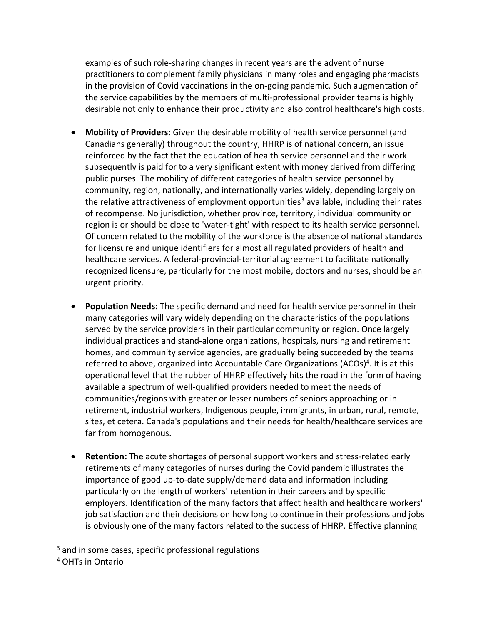examples of such role-sharing changes in recent years are the advent of nurse practitioners to complement family physicians in many roles and engaging pharmacists in the provision of Covid vaccinations in the on-going pandemic. Such augmentation of the service capabilities by the members of multi-professional provider teams is highly desirable not only to enhance their productivity and also control healthcare's high costs.

- **Mobility of Providers:** Given the desirable mobility of health service personnel (and Canadians generally) throughout the country, HHRP is of national concern, an issue reinforced by the fact that the education of health service personnel and their work subsequently is paid for to a very significant extent with money derived from differing public purses. The mobility of different categories of health service personnel by community, region, nationally, and internationally varies widely, depending largely on the relative attractiveness of employment opportunities<sup>3</sup> available, including their rates of recompense. No jurisdiction, whether province, territory, individual community or region is or should be close to 'water-tight' with respect to its health service personnel. Of concern related to the mobility of the workforce is the absence of national standards for licensure and unique identifiers for almost all regulated providers of health and healthcare services. A federal-provincial-territorial agreement to facilitate nationally recognized licensure, particularly for the most mobile, doctors and nurses, should be an urgent priority.
- **Population Needs:** The specific demand and need for health service personnel in their many categories will vary widely depending on the characteristics of the populations served by the service providers in their particular community or region. Once largely individual practices and stand-alone organizations, hospitals, nursing and retirement homes, and community service agencies, are gradually being succeeded by the teams referred to above, organized into Accountable Care Organizations (ACOs)<sup>4</sup>. It is at this operational level that the rubber of HHRP effectively hits the road in the form of having available a spectrum of well-qualified providers needed to meet the needs of communities/regions with greater or lesser numbers of seniors approaching or in retirement, industrial workers, Indigenous people, immigrants, in urban, rural, remote, sites, et cetera. Canada's populations and their needs for health/healthcare services are far from homogenous.
- **Retention:** The acute shortages of personal support workers and stress-related early retirements of many categories of nurses during the Covid pandemic illustrates the importance of good up-to-date supply/demand data and information including particularly on the length of workers' retention in their careers and by specific employers. Identification of the many factors that affect health and healthcare workers' job satisfaction and their decisions on how long to continue in their professions and jobs is obviously one of the many factors related to the success of HHRP. Effective planning

<sup>&</sup>lt;sup>3</sup> and in some cases, specific professional regulations

<sup>4</sup> OHTs in Ontario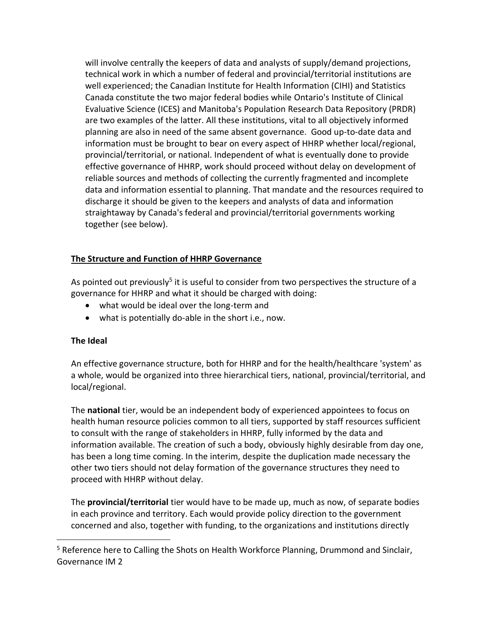will involve centrally the keepers of data and analysts of supply/demand projections, technical work in which a number of federal and provincial/territorial institutions are well experienced; the Canadian Institute for Health Information (CIHI) and Statistics Canada constitute the two major federal bodies while Ontario's Institute of Clinical Evaluative Science (ICES) and Manitoba's Population Research Data Repository (PRDR) are two examples of the latter. All these institutions, vital to all objectively informed planning are also in need of the same absent governance. Good up-to-date data and information must be brought to bear on every aspect of HHRP whether local/regional, provincial/territorial, or national. Independent of what is eventually done to provide effective governance of HHRP, work should proceed without delay on development of reliable sources and methods of collecting the currently fragmented and incomplete data and information essential to planning. That mandate and the resources required to discharge it should be given to the keepers and analysts of data and information straightaway by Canada's federal and provincial/territorial governments working together (see below).

### **The Structure and Function of HHRP Governance**

As pointed out previously<sup>5</sup> it is useful to consider from two perspectives the structure of a governance for HHRP and what it should be charged with doing:

- what would be ideal over the long-term and
- what is potentially do-able in the short i.e., now.

#### **The Ideal**

An effective governance structure, both for HHRP and for the health/healthcare 'system' as a whole, would be organized into three hierarchical tiers, national, provincial/territorial, and local/regional.

The **national** tier, would be an independent body of experienced appointees to focus on health human resource policies common to all tiers, supported by staff resources sufficient to consult with the range of stakeholders in HHRP, fully informed by the data and information available. The creation of such a body, obviously highly desirable from day one, has been a long time coming. In the interim, despite the duplication made necessary the other two tiers should not delay formation of the governance structures they need to proceed with HHRP without delay.

The **provincial/territorial** tier would have to be made up, much as now, of separate bodies in each province and territory. Each would provide policy direction to the government concerned and also, together with funding, to the organizations and institutions directly

<sup>&</sup>lt;sup>5</sup> Reference here to Calling the Shots on Health Workforce Planning, Drummond and Sinclair, Governance IM 2